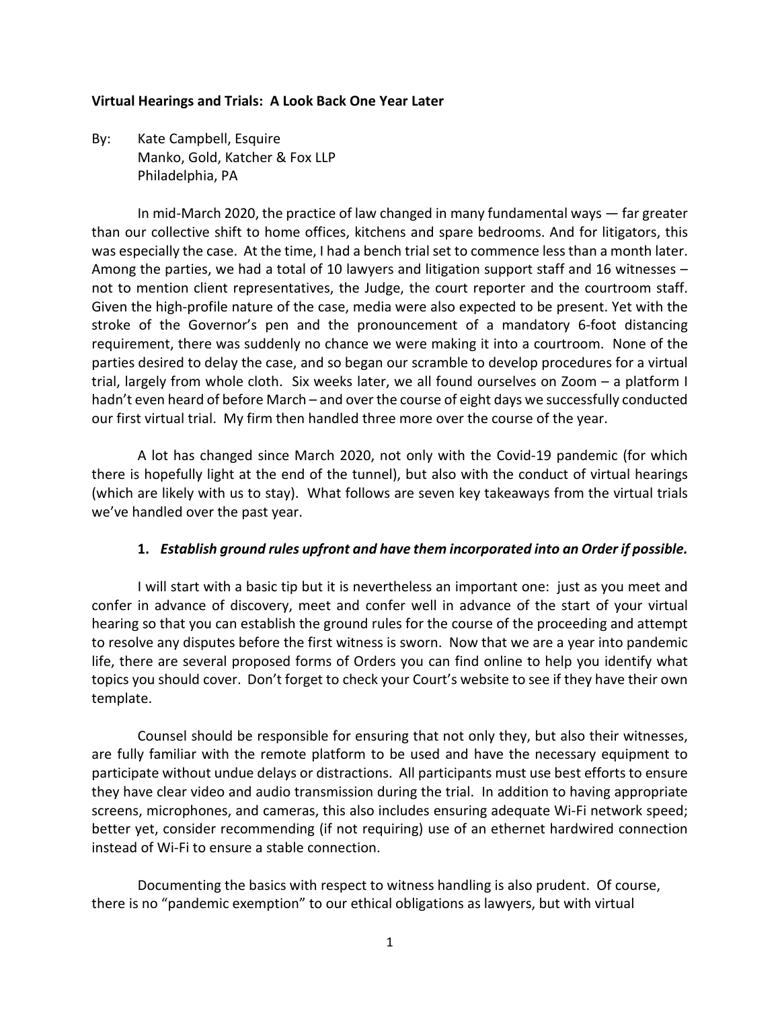#### **Virtual Hearings and Trials: A Look Back One Year Later**

By: Kate Campbell, Esquire Manko, Gold, Katcher & Fox LLP Philadelphia, PA

In mid-March 2020, the practice of law changed in many fundamental ways — far greater than our collective shift to home offices, kitchens and spare bedrooms. And for litigators, this was especially the case. At the time, I had a bench trial set to commence less than a month later. Among the parties, we had a total of 10 lawyers and litigation support staff and 16 witnesses – not to mention client representatives, the Judge, the court reporter and the courtroom staff. Given the high-profile nature of the case, media were also expected to be present. Yet with the stroke of the Governor's pen and the pronouncement of a mandatory 6-foot distancing requirement, there was suddenly no chance we were making it into a courtroom. None of the parties desired to delay the case, and so began our scramble to develop procedures for a virtual trial, largely from whole cloth. Six weeks later, we all found ourselves on Zoom – a platform I hadn't even heard of before March – and over the course of eight days we successfully conducted our first virtual trial. My firm then handled three more over the course of the year.

A lot has changed since March 2020, not only with the Covid-19 pandemic (for which there is hopefully light at the end of the tunnel), but also with the conduct of virtual hearings (which are likely with us to stay). What follows are seven key takeaways from the virtual trials we've handled over the past year.

### **1.** *Establish ground rules upfront and have them incorporated into an Order if possible.*

I will start with a basic tip but it is nevertheless an important one: just as you meet and confer in advance of discovery, meet and confer well in advance of the start of your virtual hearing so that you can establish the ground rules for the course of the proceeding and attempt to resolve any disputes before the first witness is sworn. Now that we are a year into pandemic life, there are several proposed forms of Orders you can find online to help you identify what topics you should cover. Don't forget to check your Court's website to see if they have their own template.

Counsel should be responsible for ensuring that not only they, but also their witnesses, are fully familiar with the remote platform to be used and have the necessary equipment to participate without undue delays or distractions. All participants must use best efforts to ensure they have clear video and audio transmission during the trial. In addition to having appropriate screens, microphones, and cameras, this also includes ensuring adequate Wi-Fi network speed; better yet, consider recommending (if not requiring) use of an ethernet hardwired connection instead of Wi-Fi to ensure a stable connection.

Documenting the basics with respect to witness handling is also prudent. Of course, there is no "pandemic exemption" to our ethical obligations as lawyers, but with virtual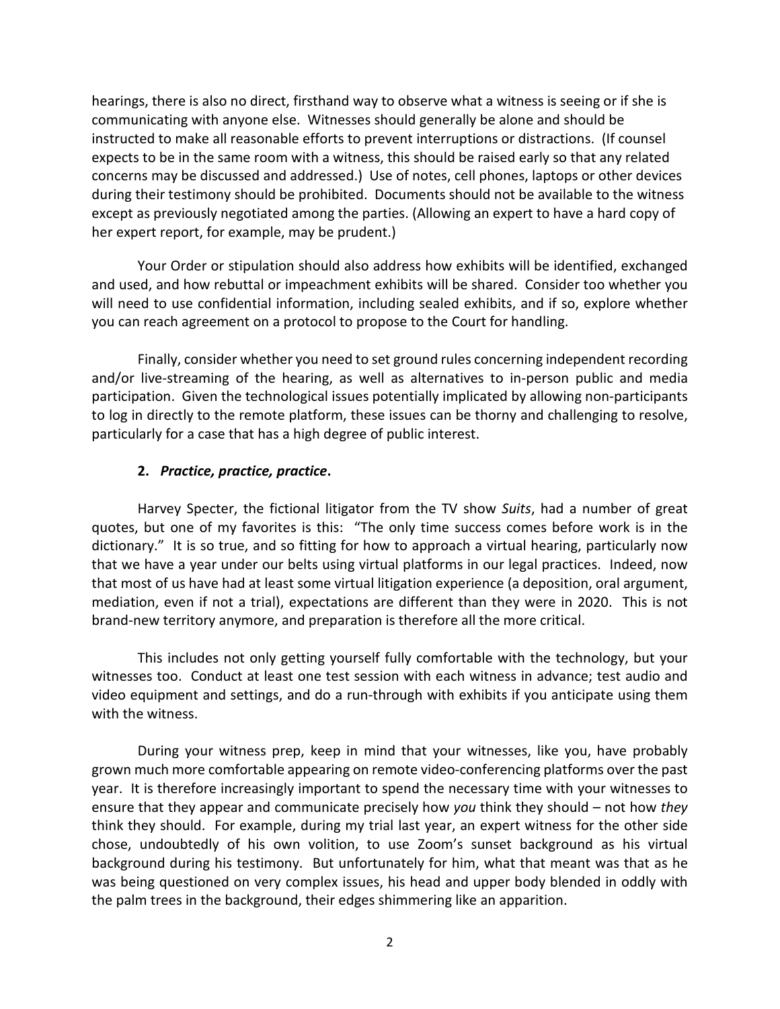hearings, there is also no direct, firsthand way to observe what a witness is seeing or if she is communicating with anyone else. Witnesses should generally be alone and should be instructed to make all reasonable efforts to prevent interruptions or distractions. (If counsel expects to be in the same room with a witness, this should be raised early so that any related concerns may be discussed and addressed.) Use of notes, cell phones, laptops or other devices during their testimony should be prohibited. Documents should not be available to the witness except as previously negotiated among the parties. (Allowing an expert to have a hard copy of her expert report, for example, may be prudent.)

Your Order or stipulation should also address how exhibits will be identified, exchanged and used, and how rebuttal or impeachment exhibits will be shared. Consider too whether you will need to use confidential information, including sealed exhibits, and if so, explore whether you can reach agreement on a protocol to propose to the Court for handling.

Finally, consider whether you need to set ground rules concerning independent recording and/or live-streaming of the hearing, as well as alternatives to in-person public and media participation. Given the technological issues potentially implicated by allowing non-participants to log in directly to the remote platform, these issues can be thorny and challenging to resolve, particularly for a case that has a high degree of public interest.

## **2.** *Practice, practice, practice***.**

Harvey Specter, the fictional litigator from the TV show *Suits*, had a number of great quotes, but one of my favorites is this: "The only time success comes before work is in the dictionary." It is so true, and so fitting for how to approach a virtual hearing, particularly now that we have a year under our belts using virtual platforms in our legal practices. Indeed, now that most of us have had at least some virtual litigation experience (a deposition, oral argument, mediation, even if not a trial), expectations are different than they were in 2020. This is not brand-new territory anymore, and preparation is therefore all the more critical.

This includes not only getting yourself fully comfortable with the technology, but your witnesses too. Conduct at least one test session with each witness in advance; test audio and video equipment and settings, and do a run-through with exhibits if you anticipate using them with the witness.

During your witness prep, keep in mind that your witnesses, like you, have probably grown much more comfortable appearing on remote video-conferencing platforms over the past year. It is therefore increasingly important to spend the necessary time with your witnesses to ensure that they appear and communicate precisely how *you* think they should – not how *they*  think they should. For example, during my trial last year, an expert witness for the other side chose, undoubtedly of his own volition, to use Zoom's sunset background as his virtual background during his testimony. But unfortunately for him, what that meant was that as he was being questioned on very complex issues, his head and upper body blended in oddly with the palm trees in the background, their edges shimmering like an apparition.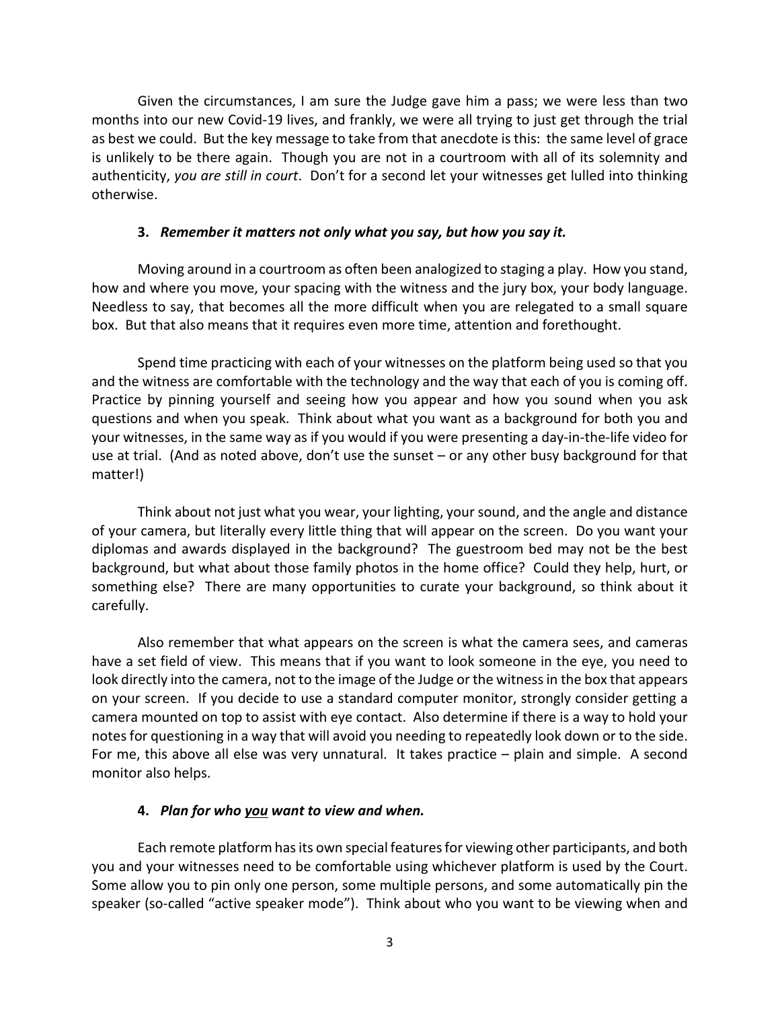Given the circumstances, I am sure the Judge gave him a pass; we were less than two months into our new Covid-19 lives, and frankly, we were all trying to just get through the trial as best we could. But the key message to take from that anecdote is this: the same level of grace is unlikely to be there again. Though you are not in a courtroom with all of its solemnity and authenticity, *you are still in court*. Don't for a second let your witnesses get lulled into thinking otherwise.

### **3.** *Remember it matters not only what you say, but how you say it.*

Moving around in a courtroom as often been analogized to staging a play. How you stand, how and where you move, your spacing with the witness and the jury box, your body language. Needless to say, that becomes all the more difficult when you are relegated to a small square box. But that also means that it requires even more time, attention and forethought.

Spend time practicing with each of your witnesses on the platform being used so that you and the witness are comfortable with the technology and the way that each of you is coming off. Practice by pinning yourself and seeing how you appear and how you sound when you ask questions and when you speak. Think about what you want as a background for both you and your witnesses, in the same way as if you would if you were presenting a day-in-the-life video for use at trial. (And as noted above, don't use the sunset – or any other busy background for that matter!)

Think about not just what you wear, your lighting, your sound, and the angle and distance of your camera, but literally every little thing that will appear on the screen. Do you want your diplomas and awards displayed in the background? The guestroom bed may not be the best background, but what about those family photos in the home office? Could they help, hurt, or something else? There are many opportunities to curate your background, so think about it carefully.

Also remember that what appears on the screen is what the camera sees, and cameras have a set field of view. This means that if you want to look someone in the eye, you need to look directly into the camera, not to the image of the Judge or the witnessin the box that appears on your screen. If you decide to use a standard computer monitor, strongly consider getting a camera mounted on top to assist with eye contact. Also determine if there is a way to hold your notes for questioning in a way that will avoid you needing to repeatedly look down or to the side. For me, this above all else was very unnatural. It takes practice – plain and simple. A second monitor also helps.

### **4.** *Plan for who you want to view and when.*

Each remote platform has its own special features for viewing other participants, and both you and your witnesses need to be comfortable using whichever platform is used by the Court. Some allow you to pin only one person, some multiple persons, and some automatically pin the speaker (so-called "active speaker mode"). Think about who you want to be viewing when and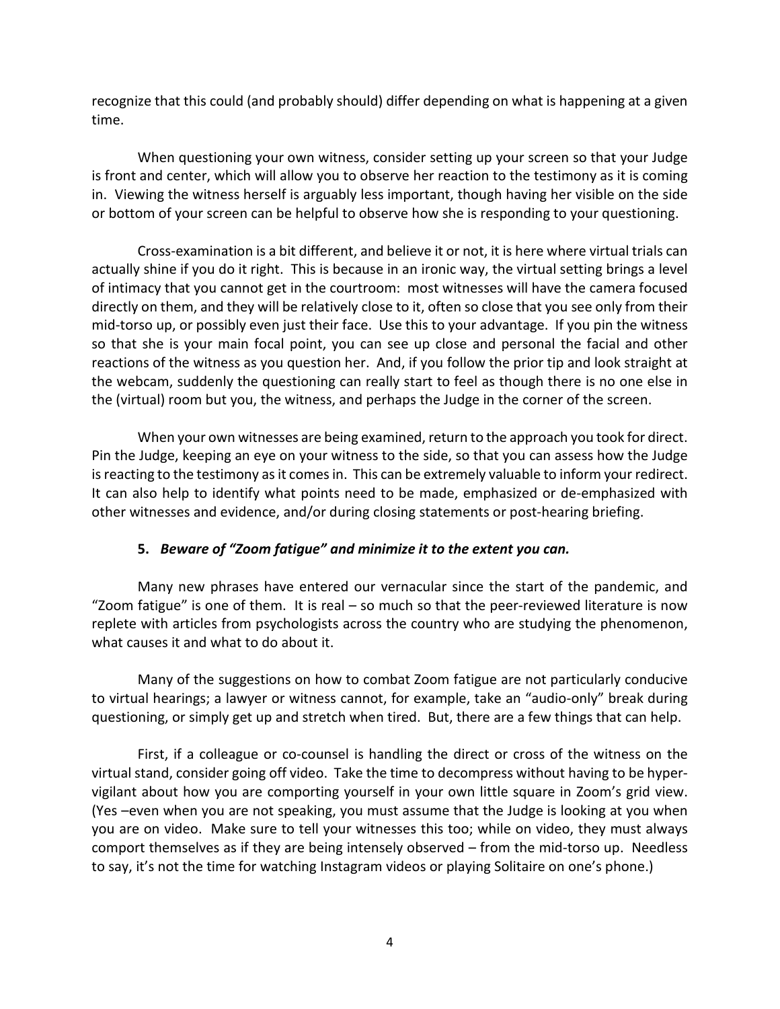recognize that this could (and probably should) differ depending on what is happening at a given time.

When questioning your own witness, consider setting up your screen so that your Judge is front and center, which will allow you to observe her reaction to the testimony as it is coming in. Viewing the witness herself is arguably less important, though having her visible on the side or bottom of your screen can be helpful to observe how she is responding to your questioning.

Cross-examination is a bit different, and believe it or not, it is here where virtual trials can actually shine if you do it right. This is because in an ironic way, the virtual setting brings a level of intimacy that you cannot get in the courtroom: most witnesses will have the camera focused directly on them, and they will be relatively close to it, often so close that you see only from their mid-torso up, or possibly even just their face. Use this to your advantage. If you pin the witness so that she is your main focal point, you can see up close and personal the facial and other reactions of the witness as you question her. And, if you follow the prior tip and look straight at the webcam, suddenly the questioning can really start to feel as though there is no one else in the (virtual) room but you, the witness, and perhaps the Judge in the corner of the screen.

When your own witnesses are being examined, return to the approach you took for direct. Pin the Judge, keeping an eye on your witness to the side, so that you can assess how the Judge is reacting to the testimony as it comes in. This can be extremely valuable to inform your redirect. It can also help to identify what points need to be made, emphasized or de-emphasized with other witnesses and evidence, and/or during closing statements or post-hearing briefing.

# **5.** *Beware of "Zoom fatigue" and minimize it to the extent you can.*

Many new phrases have entered our vernacular since the start of the pandemic, and "Zoom fatigue" is one of them. It is real – so much so that the peer-reviewed literature is now replete with articles from psychologists across the country who are studying the phenomenon, what causes it and what to do about it.

Many of the suggestions on how to combat Zoom fatigue are not particularly conducive to virtual hearings; a lawyer or witness cannot, for example, take an "audio-only" break during questioning, or simply get up and stretch when tired. But, there are a few things that can help.

First, if a colleague or co-counsel is handling the direct or cross of the witness on the virtual stand, consider going off video. Take the time to decompress without having to be hypervigilant about how you are comporting yourself in your own little square in Zoom's grid view. (Yes –even when you are not speaking, you must assume that the Judge is looking at you when you are on video. Make sure to tell your witnesses this too; while on video, they must always comport themselves as if they are being intensely observed – from the mid-torso up. Needless to say, it's not the time for watching Instagram videos or playing Solitaire on one's phone.)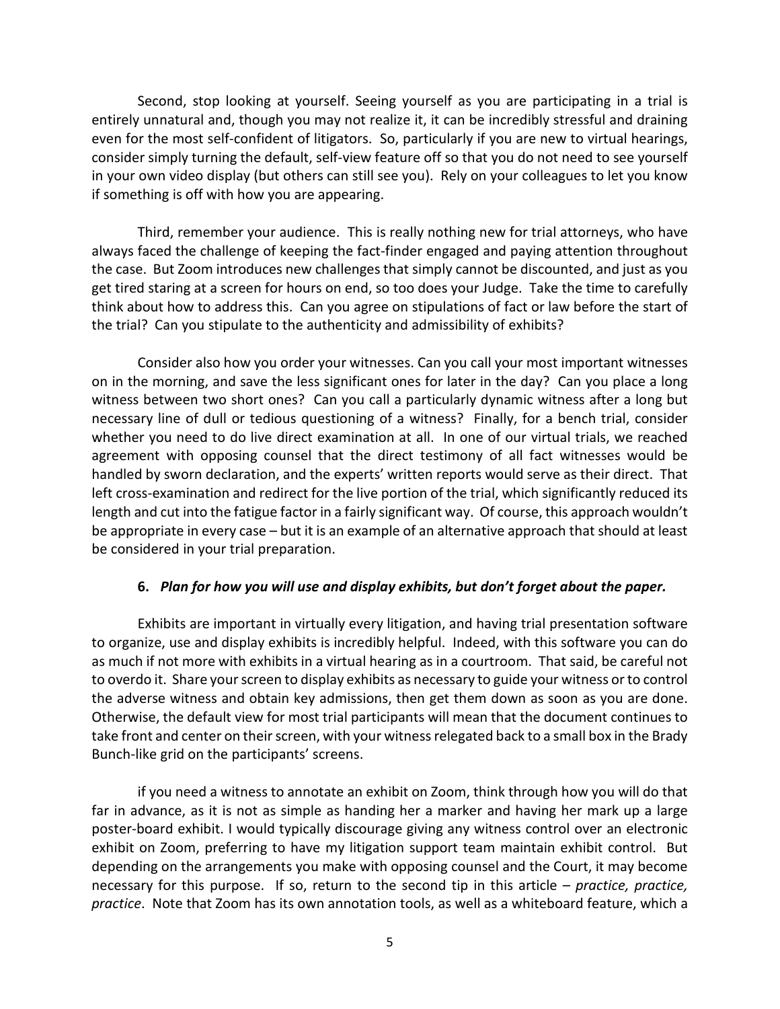Second, stop looking at yourself. Seeing yourself as you are participating in a trial is entirely unnatural and, though you may not realize it, it can be incredibly stressful and draining even for the most self-confident of litigators. So, particularly if you are new to virtual hearings, consider simply turning the default, self-view feature off so that you do not need to see yourself in your own video display (but others can still see you). Rely on your colleagues to let you know if something is off with how you are appearing.

Third, remember your audience. This is really nothing new for trial attorneys, who have always faced the challenge of keeping the fact-finder engaged and paying attention throughout the case. But Zoom introduces new challenges that simply cannot be discounted, and just as you get tired staring at a screen for hours on end, so too does your Judge. Take the time to carefully think about how to address this. Can you agree on stipulations of fact or law before the start of the trial? Can you stipulate to the authenticity and admissibility of exhibits?

Consider also how you order your witnesses. Can you call your most important witnesses on in the morning, and save the less significant ones for later in the day? Can you place a long witness between two short ones? Can you call a particularly dynamic witness after a long but necessary line of dull or tedious questioning of a witness? Finally, for a bench trial, consider whether you need to do live direct examination at all. In one of our virtual trials, we reached agreement with opposing counsel that the direct testimony of all fact witnesses would be handled by sworn declaration, and the experts' written reports would serve as their direct. That left cross-examination and redirect for the live portion of the trial, which significantly reduced its length and cut into the fatigue factor in a fairly significant way. Of course, this approach wouldn't be appropriate in every case – but it is an example of an alternative approach that should at least be considered in your trial preparation.

### **6.** *Plan for how you will use and display exhibits, but don't forget about the paper.*

Exhibits are important in virtually every litigation, and having trial presentation software to organize, use and display exhibits is incredibly helpful. Indeed, with this software you can do as much if not more with exhibits in a virtual hearing as in a courtroom. That said, be careful not to overdo it. Share your screen to display exhibits as necessary to guide your witness or to control the adverse witness and obtain key admissions, then get them down as soon as you are done. Otherwise, the default view for most trial participants will mean that the document continues to take front and center on their screen, with your witness relegated back to a small box in the Brady Bunch-like grid on the participants' screens.

if you need a witness to annotate an exhibit on Zoom, think through how you will do that far in advance, as it is not as simple as handing her a marker and having her mark up a large poster-board exhibit. I would typically discourage giving any witness control over an electronic exhibit on Zoom, preferring to have my litigation support team maintain exhibit control. But depending on the arrangements you make with opposing counsel and the Court, it may become necessary for this purpose. If so, return to the second tip in this article – *practice, practice, practice*. Note that Zoom has its own annotation tools, as well as a whiteboard feature, which a